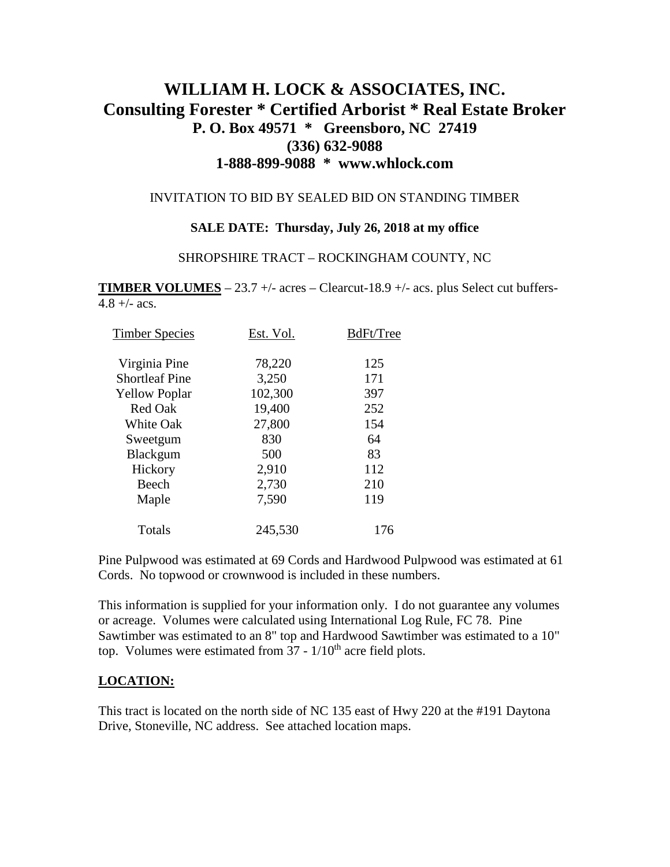# **WILLIAM H. LOCK & ASSOCIATES, INC. Consulting Forester \* Certified Arborist \* Real Estate Broker P. O. Box 49571 \* Greensboro, NC 27419 (336) 632-9088 1-888-899-9088 \* www.whlock.com**

#### INVITATION TO BID BY SEALED BID ON STANDING TIMBER

#### **SALE DATE: Thursday, July 26, 2018 at my office**

#### SHROPSHIRE TRACT – ROCKINGHAM COUNTY, NC

**TIMBER VOLUMES** – 23.7 +/- acres – Clearcut-18.9 +/- acs. plus Select cut buffers- $4.8 + (-acs)$ .

| <b>Timber Species</b> | Est. Vol. | BdFt/Tree |
|-----------------------|-----------|-----------|
| Virginia Pine         | 78,220    | 125       |
| <b>Shortleaf Pine</b> | 3,250     | 171       |
| <b>Yellow Poplar</b>  | 102,300   | 397       |
| <b>Red Oak</b>        | 19,400    | 252       |
| <b>White Oak</b>      | 27,800    | 154       |
| Sweetgum              | 830       | 64        |
| Blackgum              | 500       | 83        |
| Hickory               | 2,910     | 112       |
| Beech                 | 2,730     | 210       |
| Maple                 | 7,590     | 119       |
| Totals                | 245,530   | 176       |

Pine Pulpwood was estimated at 69 Cords and Hardwood Pulpwood was estimated at 61 Cords. No topwood or crownwood is included in these numbers.

This information is supplied for your information only. I do not guarantee any volumes or acreage. Volumes were calculated using International Log Rule, FC 78. Pine Sawtimber was estimated to an 8" top and Hardwood Sawtimber was estimated to a 10" top. Volumes were estimated from  $37 - 1/10$ <sup>th</sup> acre field plots.

### **LOCATION:**

This tract is located on the north side of NC 135 east of Hwy 220 at the #191 Daytona Drive, Stoneville, NC address. See attached location maps.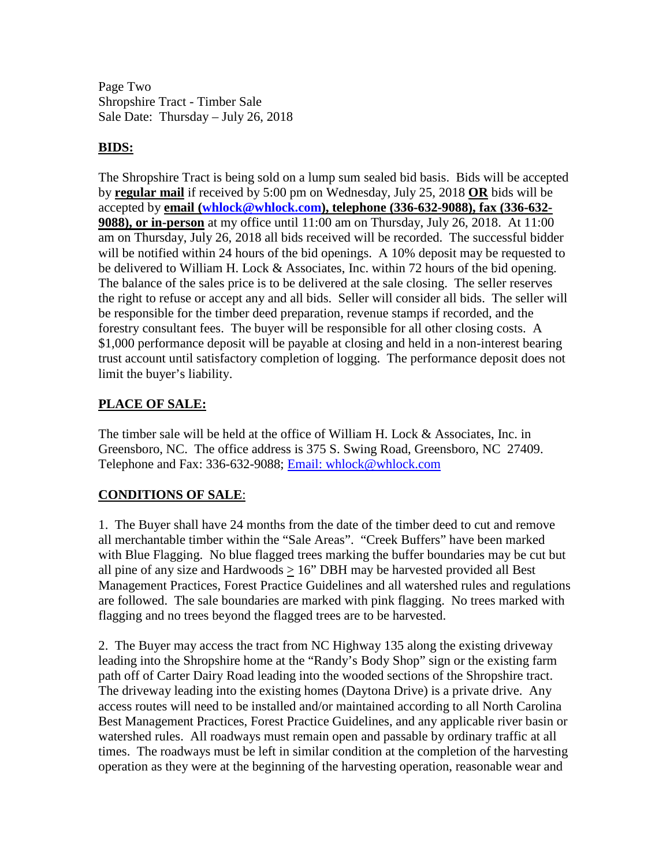Page Two Shropshire Tract - Timber Sale Sale Date: Thursday – July 26, 2018

### **BIDS:**

The Shropshire Tract is being sold on a lump sum sealed bid basis. Bids will be accepted by **regular mail** if received by 5:00 pm on Wednesday, July 25, 2018 **OR** bids will be accepted by **email [\(whlock@whlock.com\)](mailto:whlock@whlock.com), telephone (336-632-9088), fax (336-632- 9088), or in-person** at my office until 11:00 am on Thursday, July 26, 2018. At 11:00 am on Thursday, July 26, 2018 all bids received will be recorded. The successful bidder will be notified within 24 hours of the bid openings. A 10% deposit may be requested to be delivered to William H. Lock & Associates, Inc. within 72 hours of the bid opening. The balance of the sales price is to be delivered at the sale closing. The seller reserves the right to refuse or accept any and all bids. Seller will consider all bids. The seller will be responsible for the timber deed preparation, revenue stamps if recorded, and the forestry consultant fees. The buyer will be responsible for all other closing costs. A \$1,000 performance deposit will be payable at closing and held in a non-interest bearing trust account until satisfactory completion of logging. The performance deposit does not limit the buyer's liability.

## **PLACE OF SALE:**

The timber sale will be held at the office of William H. Lock & Associates, Inc. in Greensboro, NC. The office address is 375 S. Swing Road, Greensboro, NC 27409. Telephone and Fax: 336-632-9088; [Email: whlock@whlock.com](mailto:Email:%20whlock@whlock.com) 

## **CONDITIONS OF SALE**:

1. The Buyer shall have 24 months from the date of the timber deed to cut and remove all merchantable timber within the "Sale Areas". "Creek Buffers" have been marked with Blue Flagging. No blue flagged trees marking the buffer boundaries may be cut but all pine of any size and Hardwoods  $> 16$ " DBH may be harvested provided all Best Management Practices, Forest Practice Guidelines and all watershed rules and regulations are followed. The sale boundaries are marked with pink flagging. No trees marked with flagging and no trees beyond the flagged trees are to be harvested.

2. The Buyer may access the tract from NC Highway 135 along the existing driveway leading into the Shropshire home at the "Randy's Body Shop" sign or the existing farm path off of Carter Dairy Road leading into the wooded sections of the Shropshire tract. The driveway leading into the existing homes (Daytona Drive) is a private drive. Any access routes will need to be installed and/or maintained according to all North Carolina Best Management Practices, Forest Practice Guidelines, and any applicable river basin or watershed rules. All roadways must remain open and passable by ordinary traffic at all times. The roadways must be left in similar condition at the completion of the harvesting operation as they were at the beginning of the harvesting operation, reasonable wear and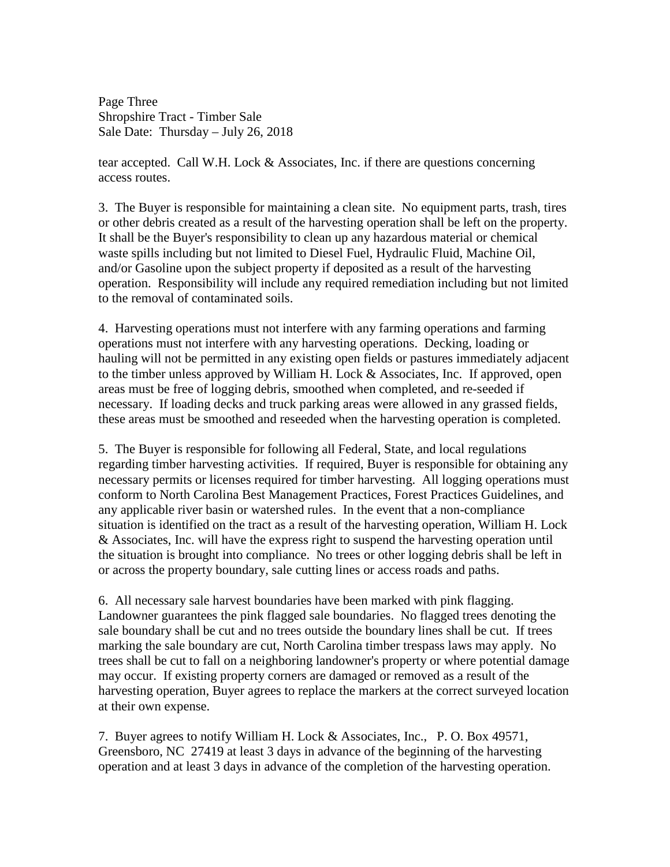Page Three Shropshire Tract - Timber Sale Sale Date: Thursday – July 26, 2018

tear accepted. Call W.H. Lock & Associates, Inc. if there are questions concerning access routes.

3. The Buyer is responsible for maintaining a clean site. No equipment parts, trash, tires or other debris created as a result of the harvesting operation shall be left on the property. It shall be the Buyer's responsibility to clean up any hazardous material or chemical waste spills including but not limited to Diesel Fuel, Hydraulic Fluid, Machine Oil, and/or Gasoline upon the subject property if deposited as a result of the harvesting operation. Responsibility will include any required remediation including but not limited to the removal of contaminated soils.

4. Harvesting operations must not interfere with any farming operations and farming operations must not interfere with any harvesting operations. Decking, loading or hauling will not be permitted in any existing open fields or pastures immediately adjacent to the timber unless approved by William H. Lock & Associates, Inc. If approved, open areas must be free of logging debris, smoothed when completed, and re-seeded if necessary. If loading decks and truck parking areas were allowed in any grassed fields, these areas must be smoothed and reseeded when the harvesting operation is completed.

5. The Buyer is responsible for following all Federal, State, and local regulations regarding timber harvesting activities. If required, Buyer is responsible for obtaining any necessary permits or licenses required for timber harvesting. All logging operations must conform to North Carolina Best Management Practices, Forest Practices Guidelines, and any applicable river basin or watershed rules. In the event that a non-compliance situation is identified on the tract as a result of the harvesting operation, William H. Lock & Associates, Inc. will have the express right to suspend the harvesting operation until the situation is brought into compliance. No trees or other logging debris shall be left in or across the property boundary, sale cutting lines or access roads and paths.

6. All necessary sale harvest boundaries have been marked with pink flagging. Landowner guarantees the pink flagged sale boundaries. No flagged trees denoting the sale boundary shall be cut and no trees outside the boundary lines shall be cut. If trees marking the sale boundary are cut, North Carolina timber trespass laws may apply. No trees shall be cut to fall on a neighboring landowner's property or where potential damage may occur. If existing property corners are damaged or removed as a result of the harvesting operation, Buyer agrees to replace the markers at the correct surveyed location at their own expense.

7. Buyer agrees to notify William H. Lock & Associates, Inc., P. O. Box 49571, Greensboro, NC 27419 at least 3 days in advance of the beginning of the harvesting operation and at least 3 days in advance of the completion of the harvesting operation.